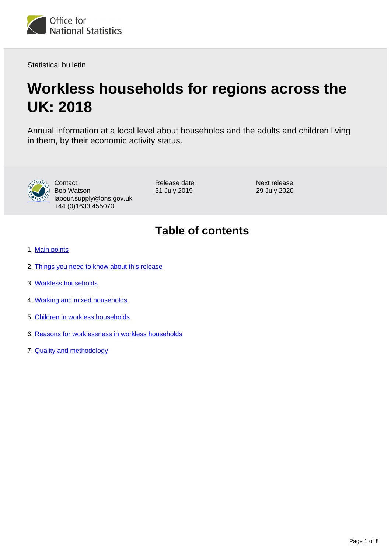

Statistical bulletin

# **Workless households for regions across the UK: 2018**

Annual information at a local level about households and the adults and children living in them, by their economic activity status.



Contact: Bob Watson labour.supply@ons.gov.uk +44 (0)1633 455070

Release date: 31 July 2019

Next release: 29 July 2020

## **Table of contents**

- 1. [Main points](#page-1-0)
- 2. [Things you need to know about this release](#page-1-1)
- 3. [Workless households](#page-3-0)
- 4. [Working and mixed households](#page-5-0)
- 5. [Children in workless households](#page-5-1)
- 6. [Reasons for worklessness in workless households](#page-6-0)
- 7. [Quality and methodology](#page-6-1)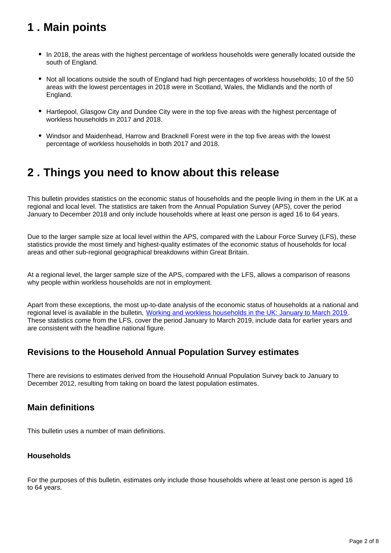## <span id="page-1-0"></span>**1 . Main points**

- In 2018, the areas with the highest percentage of workless households were generally located outside the south of England.
- Not all locations outside the south of England had high percentages of workless households; 10 of the 50 areas with the lowest percentages in 2018 were in Scotland, Wales, the Midlands and the north of England.
- Hartlepool, Glasgow City and Dundee City were in the top five areas with the highest percentage of workless households in 2017 and 2018.
- Windsor and Maidenhead, Harrow and Bracknell Forest were in the top five areas with the lowest percentage of workless households in both 2017 and 2018.

## <span id="page-1-1"></span>**2 . Things you need to know about this release**

This bulletin provides statistics on the economic status of households and the people living in them in the UK at a regional and local level. The statistics are taken from the Annual Population Survey (APS), cover the period January to December 2018 and only include households where at least one person is aged 16 to 64 years.

Due to the larger sample size at local level within the APS, compared with the Labour Force Survey (LFS), these statistics provide the most timely and highest-quality estimates of the economic status of households for local areas and other sub-regional geographical breakdowns within Great Britain.

At a regional level, the larger sample size of the APS, compared with the LFS, allows a comparison of reasons why people within workless households are not in employment.

Apart from these exceptions, the most up-to-date analysis of the economic status of households at a national and regional level is available in the bulletin, [Working and workless households in the UK: January to March 2019](https://www.ons.gov.uk/employmentandlabourmarket/peopleinwork/employmentandemployeetypes/bulletins/workingandworklesshouseholds/januarytomarch2019) . These statistics come from the LFS, cover the period January to March 2019, include data for earlier years and are consistent with the headline national figure.

### **Revisions to the Household Annual Population Survey estimates**

There are revisions to estimates derived from the Household Annual Population Survey back to January to December 2012, resulting from taking on board the latest population estimates.

### **Main definitions**

This bulletin uses a number of main definitions.

#### **Households**

For the purposes of this bulletin, estimates only include those households where at least one person is aged 16 to 64 years.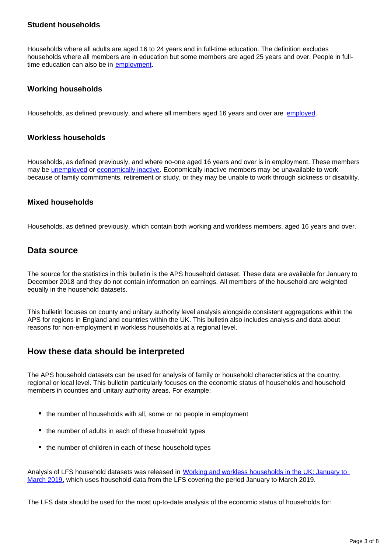#### **Student households**

Households where all adults are aged 16 to 24 years and in full-time education. The definition excludes households where all members are in education but some members are aged 25 years and over. People in fulltime education can also be in [employment.](https://www.ons.gov.uk/employmentandlabourmarket/peopleinwork/employmentandemployeetypes/methodologies/aguidetolabourmarketstatistics#employment)

#### **Working households**

Households, as defined previously, and where all members aged 16 years and over are [employed](https://www.ons.gov.uk/employmentandlabourmarket/peopleinwork/employmentandemployeetypes/methodologies/aguidetolabourmarketstatistics#employment).

#### **Workless households**

Households, as defined previously, and where no-one aged 16 years and over is in employment. These members may be [unemployed](https://www.ons.gov.uk/employmentandlabourmarket/peopleinwork/employmentandemployeetypes/methodologies/aguidetolabourmarketstatistics#unemployment) or [economically inactive](https://www.ons.gov.uk/employmentandlabourmarket/peopleinwork/employmentandemployeetypes/methodologies/aguidetolabourmarketstatistics#economic-inactivity). Economically inactive members may be unavailable to work because of family commitments, retirement or study, or they may be unable to work through sickness or disability.

#### **Mixed households**

Households, as defined previously, which contain both working and workless members, aged 16 years and over.

#### **Data source**

The source for the statistics in this bulletin is the APS household dataset. These data are available for January to December 2018 and they do not contain information on earnings. All members of the household are weighted equally in the household datasets.

This bulletin focuses on county and unitary authority level analysis alongside consistent aggregations within the APS for regions in England and countries within the UK. This bulletin also includes analysis and data about reasons for non-employment in workless households at a regional level.

#### **How these data should be interpreted**

The APS household datasets can be used for analysis of family or household characteristics at the country, regional or local level. This bulletin particularly focuses on the economic status of households and household members in counties and unitary authority areas. For example:

- the number of households with all, some or no people in employment
- the number of adults in each of these household types
- the number of children in each of these household types

Analysis of LFS household datasets was released in [Working and workless households in the UK: January to](https://www.ons.gov.uk/employmentandlabourmarket/peopleinwork/employmentandemployeetypes/bulletins/workingandworklesshouseholds/januarytomarch2019)  [March 2019](https://www.ons.gov.uk/employmentandlabourmarket/peopleinwork/employmentandemployeetypes/bulletins/workingandworklesshouseholds/januarytomarch2019), which uses household data from the LFS covering the period January to March 2019.

The LFS data should be used for the most up-to-date analysis of the economic status of households for: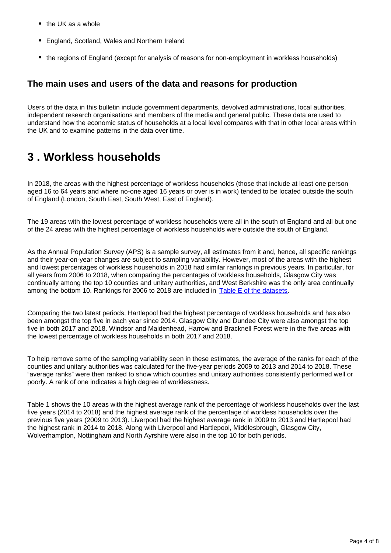- $\bullet$  the UK as a whole
- England, Scotland, Wales and Northern Ireland
- the regions of England (except for analysis of reasons for non-employment in workless households)

### **The main uses and users of the data and reasons for production**

Users of the data in this bulletin include government departments, devolved administrations, local authorities, independent research organisations and members of the media and general public. These data are used to understand how the economic status of households at a local level compares with that in other local areas within the UK and to examine patterns in the data over time.

## <span id="page-3-0"></span>**3 . Workless households**

In 2018, the areas with the highest percentage of workless households (those that include at least one person aged 16 to 64 years and where no-one aged 16 years or over is in work) tended to be located outside the south of England (London, South East, South West, East of England).

The 19 areas with the lowest percentage of workless households were all in the south of England and all but one of the 24 areas with the highest percentage of workless households were outside the south of England.

As the Annual Population Survey (APS) is a sample survey, all estimates from it and, hence, all specific rankings and their year-on-year changes are subject to sampling variability. However, most of the areas with the highest and lowest percentages of workless households in 2018 had similar rankings in previous years. In particular, for all years from 2006 to 2018, when comparing the percentages of workless households, Glasgow City was continually among the top 10 counties and unitary authorities, and West Berkshire was the only area continually among the bottom 10. Rankings for 2006 to 2018 are included in [Table E of the datasets](https://www.ons.gov.uk/employmentandlabourmarket/peoplenotinwork/unemployment/datasets/rankingsofpercentagesofworklesshouseholdsforcountiesandunitaryauthorityareasingreatbritaintablee).

Comparing the two latest periods, Hartlepool had the highest percentage of workless households and has also been amongst the top five in each year since 2014. Glasgow City and Dundee City were also amongst the top five in both 2017 and 2018. Windsor and Maidenhead, Harrow and Bracknell Forest were in the five areas with the lowest percentage of workless households in both 2017 and 2018.

To help remove some of the sampling variability seen in these estimates, the average of the ranks for each of the counties and unitary authorities was calculated for the five-year periods 2009 to 2013 and 2014 to 2018. These "average ranks" were then ranked to show which counties and unitary authorities consistently performed well or poorly. A rank of one indicates a high degree of worklessness.

Table 1 shows the 10 areas with the highest average rank of the percentage of workless households over the last five years (2014 to 2018) and the highest average rank of the percentage of workless households over the previous five years (2009 to 2013). Liverpool had the highest average rank in 2009 to 2013 and Hartlepool had the highest rank in 2014 to 2018. Along with Liverpool and Hartlepool, Middlesbrough, Glasgow City, Wolverhampton, Nottingham and North Ayrshire were also in the top 10 for both periods.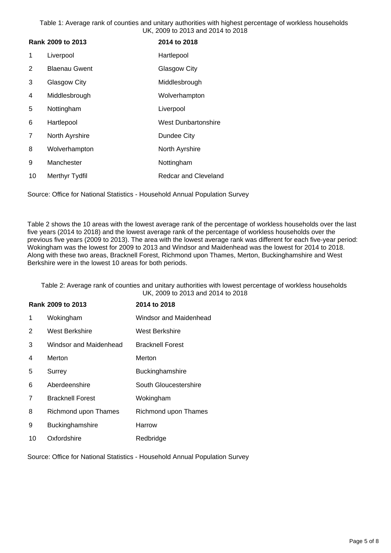Table 1: Average rank of counties and unitary authorities with highest percentage of workless households UK, 2009 to 2013 and 2014 to 2018

| Rank 2009 to 2013 |                      | 2014 to 2018                |
|-------------------|----------------------|-----------------------------|
| 1                 | Liverpool            | Hartlepool                  |
| 2                 | <b>Blaenau Gwent</b> | Glasgow City                |
| 3                 | Glasgow City         | Middlesbrough               |
| 4                 | Middlesbrough        | Wolverhampton               |
| 5                 | Nottingham           | Liverpool                   |
| 6                 | Hartlepool           | <b>West Dunbartonshire</b>  |
| 7                 | North Ayrshire       | Dundee City                 |
| 8                 | Wolverhampton        | North Ayrshire              |
| 9                 | Manchester           | Nottingham                  |
| 10                | Merthyr Tydfil       | <b>Redcar and Cleveland</b> |

Source: Office for National Statistics - Household Annual Population Survey

Table 2 shows the 10 areas with the lowest average rank of the percentage of workless households over the last five years (2014 to 2018) and the lowest average rank of the percentage of workless households over the previous five years (2009 to 2013). The area with the lowest average rank was different for each five-year period: Wokingham was the lowest for 2009 to 2013 and Windsor and Maidenhead was the lowest for 2014 to 2018. Along with these two areas, Bracknell Forest, Richmond upon Thames, Merton, Buckinghamshire and West Berkshire were in the lowest 10 areas for both periods.

Table 2: Average rank of counties and unitary authorities with lowest percentage of workless households UK, 2009 to 2013 and 2014 to 2018

| Rank 2009 to 2013 |                         | 2014 to 2018            |  |
|-------------------|-------------------------|-------------------------|--|
| 1                 | Wokingham               | Windsor and Maidenhead  |  |
| 2                 | <b>West Berkshire</b>   | West Berkshire          |  |
| 3                 | Windsor and Maidenhead  | <b>Bracknell Forest</b> |  |
| 4                 | Merton                  | Merton                  |  |
| 5                 | Surrey                  | <b>Buckinghamshire</b>  |  |
| 6                 | Aberdeenshire           | South Gloucestershire   |  |
| 7                 | <b>Bracknell Forest</b> | Wokingham               |  |
| 8                 | Richmond upon Thames    | Richmond upon Thames    |  |
| 9                 | Buckinghamshire         | Harrow                  |  |
| 10                | Oxfordshire             | Redbridge               |  |

Source: Office for National Statistics - Household Annual Population Survey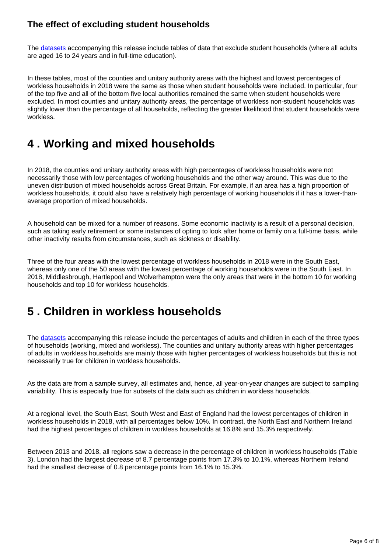### **The effect of excluding student households**

The [datasets](https://www.ons.gov.uk/employmentandlabourmarket/peoplenotinwork/unemployment/bulletins/worklesshouseholdsforregionsacrosstheuk/2018/relateddata) accompanying this release include tables of data that exclude student households (where all adults are aged 16 to 24 years and in full-time education).

In these tables, most of the counties and unitary authority areas with the highest and lowest percentages of workless households in 2018 were the same as those when student households were included. In particular, four of the top five and all of the bottom five local authorities remained the same when student households were excluded. In most counties and unitary authority areas, the percentage of workless non-student households was slightly lower than the percentage of all households, reflecting the greater likelihood that student households were workless.

## <span id="page-5-0"></span>**4 . Working and mixed households**

In 2018, the counties and unitary authority areas with high percentages of workless households were not necessarily those with low percentages of working households and the other way around. This was due to the uneven distribution of mixed households across Great Britain. For example, if an area has a high proportion of workless households, it could also have a relatively high percentage of working households if it has a lower-thanaverage proportion of mixed households.

A household can be mixed for a number of reasons. Some economic inactivity is a result of a personal decision, such as taking early retirement or some instances of opting to look after home or family on a full-time basis, while other inactivity results from circumstances, such as sickness or disability.

Three of the four areas with the lowest percentage of workless households in 2018 were in the South East, whereas only one of the 50 areas with the lowest percentage of working households were in the South East. In 2018, Middlesbrough, Hartlepool and Wolverhampton were the only areas that were in the bottom 10 for working households and top 10 for workless households.

## <span id="page-5-1"></span>**5 . Children in workless households**

The [datasets](https://www.ons.gov.uk/employmentandlabourmarket/peoplenotinwork/unemployment/bulletins/worklesshouseholdsforregionsacrosstheuk/2018/relateddata) accompanying this release include the percentages of adults and children in each of the three types of households (working, mixed and workless). The counties and unitary authority areas with higher percentages of adults in workless households are mainly those with higher percentages of workless households but this is not necessarily true for children in workless households.

As the data are from a sample survey, all estimates and, hence, all year-on-year changes are subject to sampling variability. This is especially true for subsets of the data such as children in workless households.

At a regional level, the South East, South West and East of England had the lowest percentages of children in workless households in 2018, with all percentages below 10%. In contrast, the North East and Northern Ireland had the highest percentages of children in workless households at 16.8% and 15.3% respectively.

Between 2013 and 2018, all regions saw a decrease in the percentage of children in workless households (Table 3). London had the largest decrease of 8.7 percentage points from 17.3% to 10.1%, whereas Northern Ireland had the smallest decrease of 0.8 percentage points from 16.1% to 15.3%.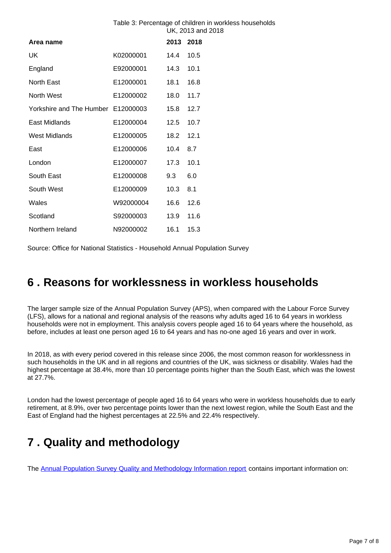#### Table 3: Percentage of children in workless households UK, 2013 and 2018

| Area name                          | 2013      | 2018 |      |
|------------------------------------|-----------|------|------|
| UK                                 | K02000001 | 14.4 | 10.5 |
| England                            | E92000001 | 14.3 | 10.1 |
| North East                         | E12000001 | 18.1 | 16.8 |
| North West                         | E12000002 | 18.0 | 11.7 |
| Yorkshire and The Humber E12000003 |           | 15.8 | 12.7 |
| East Midlands                      | E12000004 | 12.5 | 10.7 |
| <b>West Midlands</b>               | E12000005 | 18.2 | 12.1 |
| East                               | E12000006 | 10.4 | 8.7  |
| London                             | E12000007 | 17.3 | 10.1 |
| South East                         | E12000008 | 9.3  | 6.0  |
| South West                         | E12000009 | 10.3 | 8.1  |
| Wales                              | W92000004 | 16.6 | 12.6 |
| Scotland                           | S92000003 | 13.9 | 11.6 |
| Northern Ireland                   | N92000002 | 16.1 | 15.3 |

Source: Office for National Statistics - Household Annual Population Survey

### <span id="page-6-0"></span>**6 . Reasons for worklessness in workless households**

The larger sample size of the Annual Population Survey (APS), when compared with the Labour Force Survey (LFS), allows for a national and regional analysis of the reasons why adults aged 16 to 64 years in workless households were not in employment. This analysis covers people aged 16 to 64 years where the household, as before, includes at least one person aged 16 to 64 years and has no-one aged 16 years and over in work.

In 2018, as with every period covered in this release since 2006, the most common reason for worklessness in such households in the UK and in all regions and countries of the UK, was sickness or disability. Wales had the highest percentage at 38.4%, more than 10 percentage points higher than the South East, which was the lowest at 27.7%.

London had the lowest percentage of people aged 16 to 64 years who were in workless households due to early retirement, at 8.9%, over two percentage points lower than the next lowest region, while the South East and the East of England had the highest percentages at 22.5% and 22.4% respectively.

## <span id="page-6-1"></span>**7 . Quality and methodology**

The [Annual Population Survey Quality and Methodology Information report](http://) contains important information on: